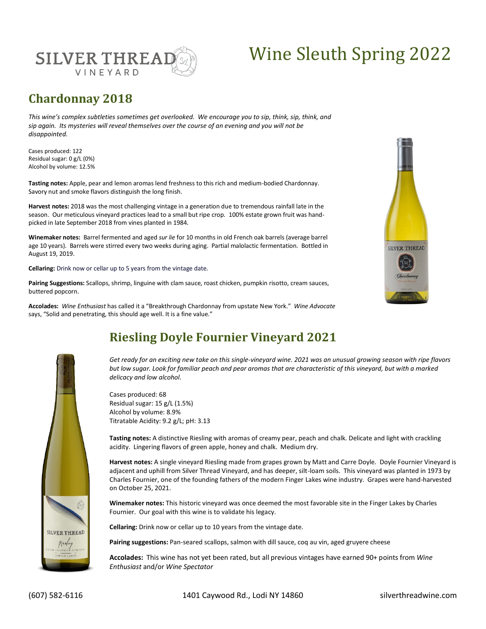

# Wine Sleuth Spring 2022

## **Chardonnay 2018**

*This wine's complex subtleties sometimes get overlooked. We encourage you to sip, think, sip, think, and sip again. Its mysteries will reveal themselves over the course of an evening and you will not be disappointed.* 

Cases produced: 122 Residual sugar: 0 g/L (0%) Alcohol by volume: 12.5%

**Tasting notes:** Apple, pear and lemon aromas lend freshness to this rich and medium-bodied Chardonnay. Savory nut and smoke flavors distinguish the long finish.

**Harvest notes:** 2018 was the most challenging vintage in a generation due to tremendous rainfall late in the season. Our meticulous vineyard practices lead to a small but ripe crop. 100% estate grown fruit was handpicked in late September 2018 from vines planted in 1984.

**Winemaker notes:** Barrel fermented and aged *sur lie* for 10 months in old French oak barrels (average barrel age 10 years). Barrels were stirred every two weeks during aging. Partial malolactic fermentation. Bottled in August 19, 2019.

**Cellaring:** Drink now or cellar up to 5 years from the vintage date.

**Pairing Suggestions:** Scallops, shrimp, linguine with clam sauce, roast chicken, pumpkin risotto, cream sauces, buttered popcorn.

**Accolades:** *Wine Enthusiast* has called it a "Breakthrough Chardonnay from upstate New York." *Wine Advocate*  says, "Solid and penetrating, this should age well. It is a fine value."





# **Riesling Doyle Fournier Vineyard 2021**

*Get ready for an exciting new take on this single-vineyard wine. 2021 was an unusual growing season with ripe flavors but low sugar. Look for familiar peach and pear aromas that are characteristic of this vineyard, but with a marked delicacy and low alcohol.* 

Cases produced: 68 Residual sugar: 15 g/L (1.5%) Alcohol by volume: 8.9% Titratable Acidity: 9.2 g/L; pH: 3.13

**Tasting notes:** A distinctive Riesling with aromas of creamy pear, peach and chalk. Delicate and light with crackling acidity. Lingering flavors of green apple, honey and chalk. Medium dry.

**Harvest notes:** A single vineyard Riesling made from grapes grown by Matt and Carre Doyle. Doyle Fournier Vineyard is adjacent and uphill from Silver Thread Vineyard, and has deeper, silt-loam soils. This vineyard was planted in 1973 by Charles Fournier, one of the founding fathers of the modern Finger Lakes wine industry. Grapes were hand-harvested on October 25, 2021.

**Winemaker notes:** This historic vineyard was once deemed the most favorable site in the Finger Lakes by Charles Fournier. Our goal with this wine is to validate his legacy.

**Cellaring:** Drink now or cellar up to 10 years from the vintage date.

**Pairing suggestions:** Pan-seared scallops, salmon with dill sauce, coq au vin, aged gruyere cheese

**Accolades:** This wine has not yet been rated, but all previous vintages have earned 90+ points from *Wine Enthusiast* and/or *Wine Spectator*